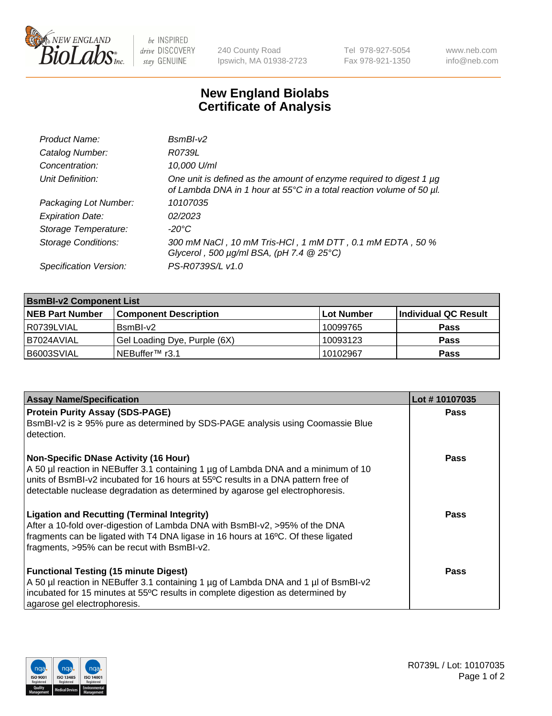

 $be$  INSPIRED drive DISCOVERY stay GENUINE

240 County Road Ipswich, MA 01938-2723 Tel 978-927-5054 Fax 978-921-1350 www.neb.com info@neb.com

## **New England Biolabs Certificate of Analysis**

| Product Name:              | $BsmBI-v2$                                                                                                                                  |
|----------------------------|---------------------------------------------------------------------------------------------------------------------------------------------|
| Catalog Number:            | R0739L                                                                                                                                      |
| Concentration:             | 10,000 U/ml                                                                                                                                 |
| Unit Definition:           | One unit is defined as the amount of enzyme required to digest 1 µg<br>of Lambda DNA in 1 hour at 55°C in a total reaction volume of 50 µl. |
| Packaging Lot Number:      | 10107035                                                                                                                                    |
| <b>Expiration Date:</b>    | 02/2023                                                                                                                                     |
| Storage Temperature:       | $-20^{\circ}$ C                                                                                                                             |
| <b>Storage Conditions:</b> | 300 mM NaCl, 10 mM Tris-HCl, 1 mM DTT, 0.1 mM EDTA, 50 %<br>Glycerol, 500 $\mu$ g/ml BSA, (pH 7.4 $@25°C$ )                                 |
| Specification Version:     | PS-R0739S/L v1.0                                                                                                                            |

| <b>BsmBI-v2 Component List</b> |                              |                   |                      |  |  |
|--------------------------------|------------------------------|-------------------|----------------------|--|--|
| <b>NEB Part Number</b>         | <b>Component Description</b> | <b>Lot Number</b> | Individual QC Result |  |  |
| l R0739LVIAL                   | BsmBI-v2                     | 10099765          | <b>Pass</b>          |  |  |
| I B7024AVIAL                   | Gel Loading Dye, Purple (6X) | 10093123          | <b>Pass</b>          |  |  |
| B6003SVIAL                     | INEBuffer™ r3.1              | 10102967          | <b>Pass</b>          |  |  |

| <b>Assay Name/Specification</b>                                                                                                                                                                                                                                                                          | Lot #10107035 |
|----------------------------------------------------------------------------------------------------------------------------------------------------------------------------------------------------------------------------------------------------------------------------------------------------------|---------------|
| <b>Protein Purity Assay (SDS-PAGE)</b><br>BsmBI-v2 is ≥ 95% pure as determined by SDS-PAGE analysis using Coomassie Blue<br>detection.                                                                                                                                                                   | <b>Pass</b>   |
| <b>Non-Specific DNase Activity (16 Hour)</b><br>A 50 µl reaction in NEBuffer 3.1 containing 1 µg of Lambda DNA and a minimum of 10<br>units of BsmBI-v2 incubated for 16 hours at 55°C results in a DNA pattern free of<br>detectable nuclease degradation as determined by agarose gel electrophoresis. | Pass          |
| <b>Ligation and Recutting (Terminal Integrity)</b><br>After a 10-fold over-digestion of Lambda DNA with BsmBI-v2, >95% of the DNA<br>fragments can be ligated with T4 DNA ligase in 16 hours at 16°C. Of these ligated<br>fragments, >95% can be recut with BsmBI-v2.                                    | Pass          |
| <b>Functional Testing (15 minute Digest)</b><br>A 50 µl reaction in NEBuffer 3.1 containing 1 µg of Lambda DNA and 1 µl of BsmBI-v2<br>incubated for 15 minutes at 55°C results in complete digestion as determined by<br>agarose gel electrophoresis.                                                   | Pass          |